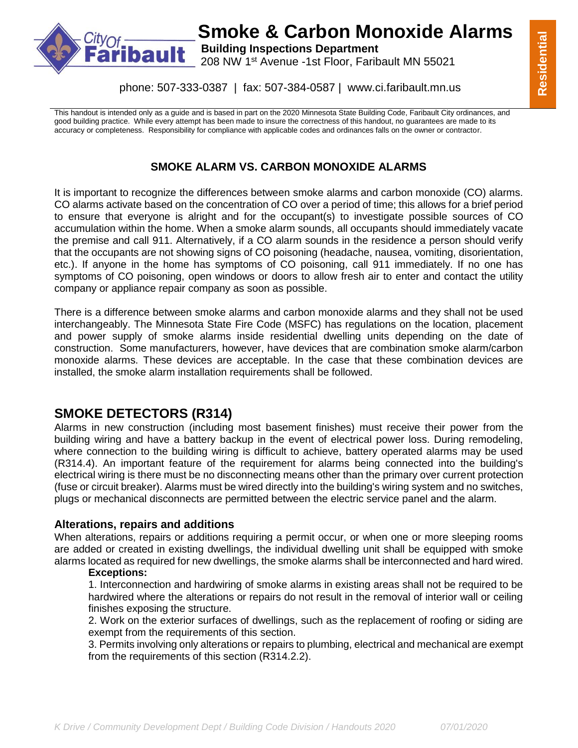

## **Smoke & Carbon Monoxide Alarms**

**bault** Building Inspections Department

208 NW 1st Avenue -1st Floor, Faribault MN 55021

phone: 507-333-0387 | fax: 507-384-0587 | www.ci.faribault.mn.us

This handout is intended only as a guide and is based in part on the 2020 Minnesota State Building Code, Faribault City ordinances, and good building practice. While every attempt has been made to insure the correctness of this handout, no guarantees are made to its accuracy or completeness. Responsibility for compliance with applicable codes and ordinances falls on the owner or contractor.

### **SMOKE ALARM VS. CARBON MONOXIDE ALARMS**

It is important to recognize the differences between smoke alarms and carbon monoxide (CO) alarms. CO alarms activate based on the concentration of CO over a period of time; this allows for a brief period to ensure that everyone is alright and for the occupant(s) to investigate possible sources of CO accumulation within the home. When a smoke alarm sounds, all occupants should immediately vacate the premise and call 911. Alternatively, if a CO alarm sounds in the residence a person should verify that the occupants are not showing signs of CO poisoning (headache, nausea, vomiting, disorientation, etc.). If anyone in the home has symptoms of CO poisoning, call 911 immediately. If no one has symptoms of CO poisoning, open windows or doors to allow fresh air to enter and contact the utility company or appliance repair company as soon as possible.

There is a difference between smoke alarms and carbon monoxide alarms and they shall not be used interchangeably. The Minnesota State Fire Code (MSFC) has regulations on the location, placement and power supply of smoke alarms inside residential dwelling units depending on the date of construction. Some manufacturers, however, have devices that are combination smoke alarm/carbon monoxide alarms. These devices are acceptable. In the case that these combination devices are installed, the smoke alarm installation requirements shall be followed.

### **SMOKE DETECTORS (R314)**

Alarms in new construction (including most basement finishes) must receive their power from the building wiring and have a battery backup in the event of electrical power loss. During remodeling, where connection to the building wiring is difficult to achieve, battery operated alarms may be used (R314.4). An important feature of the requirement for alarms being connected into the building's electrical wiring is there must be no disconnecting means other than the primary over current protection (fuse or circuit breaker). Alarms must be wired directly into the building's wiring system and no switches, plugs or mechanical disconnects are permitted between the electric service panel and the alarm.

### **Alterations, repairs and additions**

When alterations, repairs or additions requiring a permit occur, or when one or more sleeping rooms are added or created in existing dwellings, the individual dwelling unit shall be equipped with smoke alarms located as required for new dwellings, the smoke alarms shall be interconnected and hard wired.

### **Exceptions:**

1. Interconnection and hardwiring of smoke alarms in existing areas shall not be required to be hardwired where the alterations or repairs do not result in the removal of interior wall or ceiling finishes exposing the structure.

2. Work on the exterior surfaces of dwellings, such as the replacement of roofing or siding are exempt from the requirements of this section.

3. Permits involving only alterations or repairs to plumbing, electrical and mechanical are exempt from the requirements of this section (R314.2.2).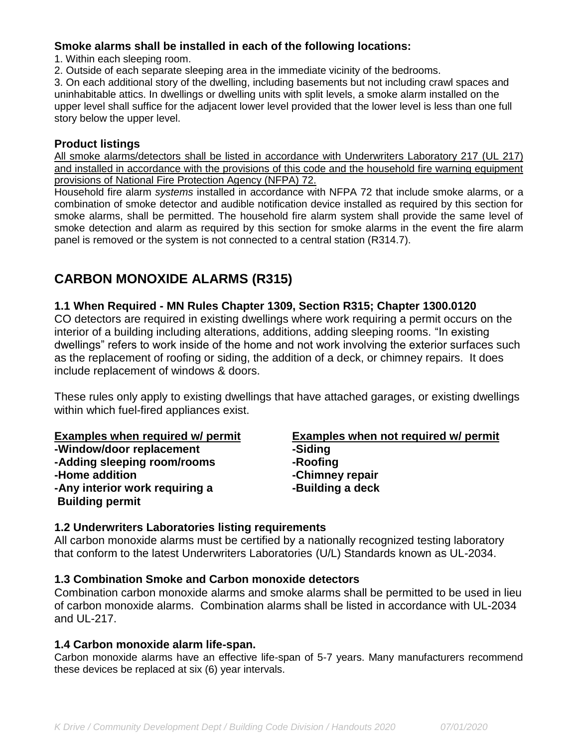### **Smoke alarms shall be installed in each of the following locations:**

1. Within each sleeping room.

2. Outside of each separate sleeping area in the immediate vicinity of the bedrooms.

3. On each additional story of the dwelling, including basements but not including crawl spaces and uninhabitable attics. In dwellings or dwelling units with split levels, a smoke alarm installed on the upper level shall suffice for the adjacent lower level provided that the lower level is less than one full story below the upper level.

### **Product listings**

All smoke alarms/detectors shall be listed in accordance with Underwriters Laboratory 217 (UL 217) and installed in accordance with the provisions of this code and the household fire warning equipment provisions of National Fire Protection Agency (NFPA) 72.

Household fire alarm *systems* installed in accordance with NFPA 72 that include smoke alarms, or a combination of smoke detector and audible notification device installed as required by this section for smoke alarms, shall be permitted. The household fire alarm system shall provide the same level of smoke detection and alarm as required by this section for smoke alarms in the event the fire alarm panel is removed or the system is not connected to a central station (R314.7).

### **CARBON MONOXIDE ALARMS (R315)**

### **1.1 When Required - MN Rules Chapter 1309, Section R315; Chapter 1300.0120**

CO detectors are required in existing dwellings where work requiring a permit occurs on the interior of a building including alterations, additions, adding sleeping rooms. "In existing dwellings" refers to work inside of the home and not work involving the exterior surfaces such as the replacement of roofing or siding, the addition of a deck, or chimney repairs. It does include replacement of windows & doors.

These rules only apply to existing dwellings that have attached garages, or existing dwellings within which fuel-fired appliances exist.

**-Window/door replacement -Siding -Adding sleeping room/rooms -Roofing -Home addition -Chimney repair -Any interior work requiring a -Building a deck Building permit**

# **Examples when required w/ permit Examples when not required w/ permit**

### **1.2 Underwriters Laboratories listing requirements**

All carbon monoxide alarms must be certified by a nationally recognized testing laboratory that conform to the latest Underwriters Laboratories (U/L) Standards known as UL-2034.

### **1.3 Combination Smoke and Carbon monoxide detectors**

Combination carbon monoxide alarms and smoke alarms shall be permitted to be used in lieu of carbon monoxide alarms. Combination alarms shall be listed in accordance with UL-2034 and UL-217.

### **1.4 Carbon monoxide alarm life-span.**

Carbon monoxide alarms have an effective life-span of 5-7 years. Many manufacturers recommend these devices be replaced at six (6) year intervals.